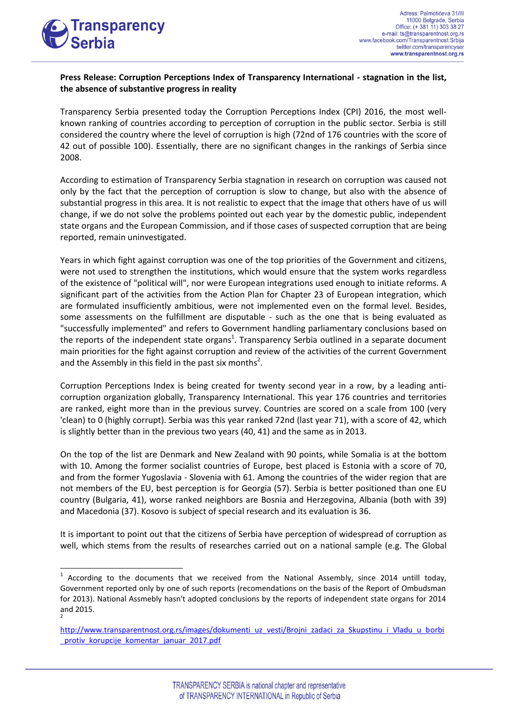

-

## **Press Release: Corruption Perceptions Index of Transparency International - stagnation in the list, the absence of substantive progress in reality**

Transparency Serbia presented today the Corruption Perceptions Index (CPI) 2016, the most wellknown ranking of countries according to perception of corruption in the public sector. Serbia is still considered the country where the level of corruption is high (72nd of 176 countries with the score of 42 out of possible 100). Essentially, there are no significant changes in the rankings of Serbia since 2008.

According to estimation of Transparency Serbia stagnation in research on corruption was caused not only by the fact that the perception of corruption is slow to change, but also with the absence of substantial progress in this area. It is not realistic to expect that the image that others have of us will change, if we do not solve the problems pointed out each year by the domestic public, independent state organs and the European Commission, and if those cases of suspected corruption that are being reported, remain uninvestigated.

Years in which fight against corruption was one of the top priorities of the Government and citizens, were not used to strengthen the institutions, which would ensure that the system works regardless of the existence of "political will", nor were European integrations used enough to initiate reforms. A significant part of the activities from the Action Plan for Chapter 23 of European integration, which are formulated insufficiently ambitious, were not implemented even on the formal level. Besides, some assessments on the fulfillment are disputable - such as the one that is being evaluated as "successfully implemented" and refers to Government handling parliamentary conclusions based on the reports of the independent state organs<sup>1</sup>. Transparency Serbia outlined in a separate document main priorities for the fight against corruption and review of the activities of the current Government and the Assembly in this field in the past six months<sup>2</sup>.

Corruption Perceptions Index is being created for twenty second year in a row, by a leading anticorruption organization globally, Transparency International. This year 176 countries and territories are ranked, eight more than in the previous survey. Countries are scored on a scale from 100 (very 'clean) to 0 (highly corrupt). Serbia was this year ranked 72nd (last year 71), with a score of 42, which is slightly better than in the previous two years (40, 41) and the same as in 2013.

On the top of the list are Denmark and New Zealand with 90 points, while Somalia is at the bottom with 10. Among the former socialist countries of Europe, best placed is Estonia with a score of 70, and from the former Yugoslavia - Slovenia with 61. Among the countries of the wider region that are not members of the EU, best perception is for Georgia (57). Serbia is better positioned than one EU country (Bulgaria, 41), worse ranked neighbors are Bosnia and Herzegovina, Albania (both with 39) and Macedonia (37). Kosovo is subject of special research and its evaluation is 36.

It is important to point out that the citizens of Serbia have perception of widespread of corruption as well, which stems from the results of researches carried out on a national sample (e.g. The Global

<sup>1</sup> According to the documents that we received from the National Assembly, since 2014 untill today, Government reported only by one of such reports (recomendations on the basis of the Report of Ombudsman for 2013). National Assmebly hasn't adopted conclusions by the reports of independent state organs for 2014 and 2015. 2

[http://www.transparentnost.org.rs/images/dokumenti\\_uz\\_vesti/Brojni\\_zadaci\\_za\\_Skupstinu\\_i\\_Vladu\\_u\\_borbi](http://www.transparentnost.org.rs/images/dokumenti_uz_vesti/Brojni_zadaci_za_Skupstinu_i_Vladu_u_borbi_protiv_korupcije_komentar_januar_2017.pdf) protiv korupcije komentar januar 2017.pdf